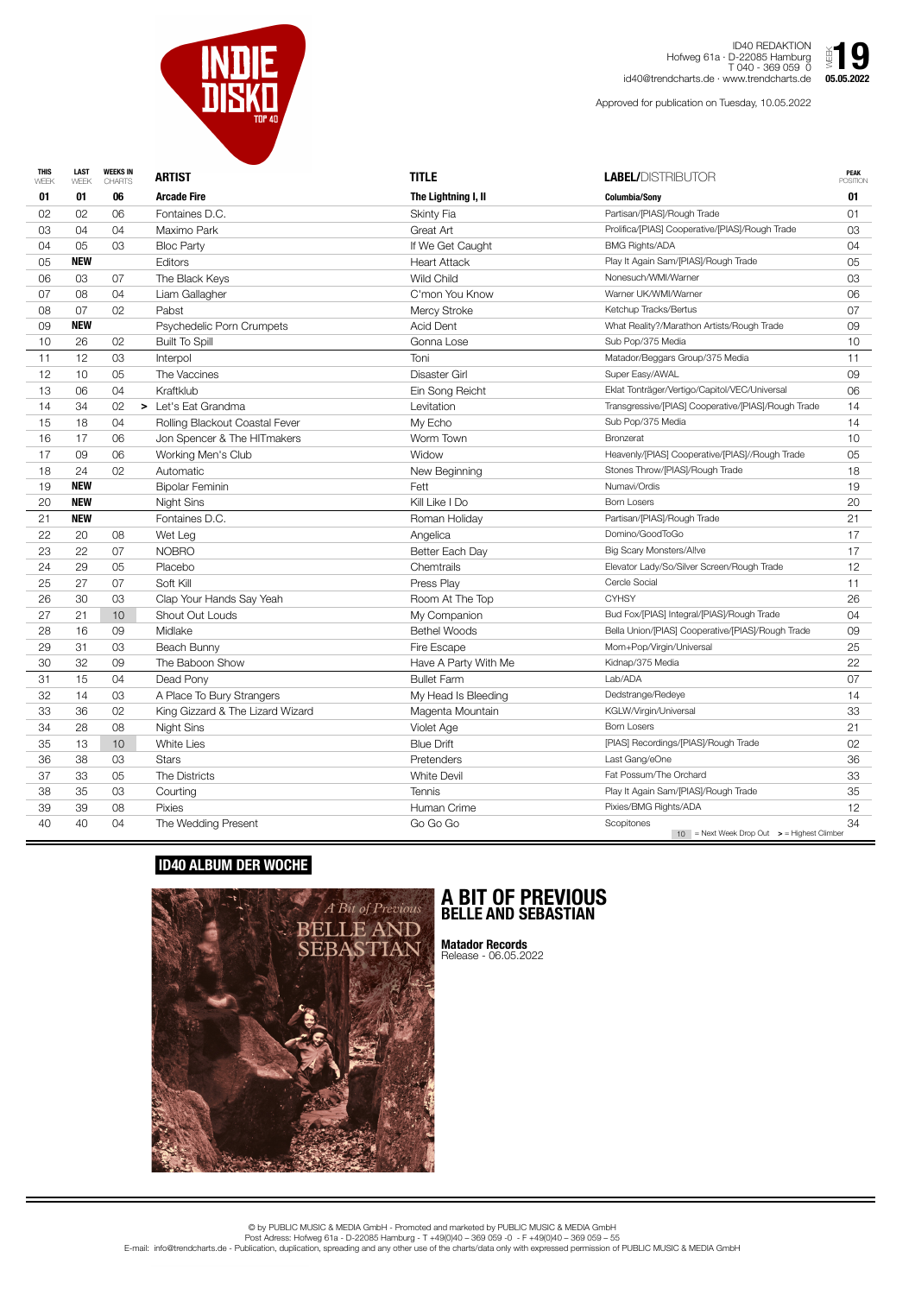| 06<br><b>Arcade Fire</b><br>The Lightning I, II<br>01<br><b>Columbia/Sony</b><br>01<br>01<br>Partisan/[PIAS]/Rough Trade<br>02<br>02<br>06<br>Fontaines D.C.<br>01<br><b>Skinty Fia</b><br>Prolifica/[PIAS] Cooperative/[PIAS]/Rough Trade<br>03<br>Maximo Park<br>03<br>04<br>Great Art<br>04<br><b>BMG Rights/ADA</b><br><b>Bloc Party</b><br>If We Get Caught<br>04<br>03<br>04<br>05<br><b>NEW</b><br><b>Heart Attack</b><br>Play It Again Sam/[PIAS]/Rough Trade<br>05<br><b>Editors</b><br>05<br>Nonesuch/WMI/Warner<br><b>Wild Child</b><br>06<br>The Black Keys<br>03<br>07<br>03<br>Warner UK/WMI/Warner<br>Liam Gallagher<br>06<br>07<br>08<br>04<br>C'mon You Know<br>Ketchup Tracks/Bertus<br>08<br>02<br><b>Mercy Stroke</b><br>07<br>Pabst<br>07<br><b>NEW</b><br>What Reality?/Marathon Artists/Rough Trade<br>09<br><b>Acid Dent</b><br>09<br>Psychedelic Porn Crumpets<br>26<br><b>Built To Spill</b><br>Gonna Lose<br>10<br>02<br>10<br>Sub Pop/375 Media<br>12<br>03<br>Toni<br>11<br>11<br>Interpol<br>Matador/Beggars Group/375 Media<br>Super Easy/AWAL<br>12<br>The Vaccines<br>09<br>10<br>05<br><b>Disaster Girl</b><br>Eklat Tonträger/Vertigo/Capitol/VEC/Universal<br>13<br>06<br>Kraftklub<br>Ein Song Reicht<br>04<br>06<br>Transgressive/[PIAS] Cooperative/[PIAS]/Rough Trade<br>14<br>34<br>02<br>Let's Eat Grandma<br>Levitation<br>14<br>⋗<br>Sub Pop/375 Media<br>18<br>Rolling Blackout Coastal Fever<br>My Echo<br>15<br>04<br>14<br>16<br>Worm Town<br><b>Bronzerat</b><br>06<br>Jon Spencer & The HITmakers<br>10<br>17<br>17<br>06<br>Working Men's Club<br>Widow<br>Heavenly/[PIAS] Cooperative/[PIAS]//Rough Trade<br>09<br>05<br>Stones Throw/[PIAS]/Rough Trade<br>18<br>New Beginning<br>24<br>02<br>Automatic<br>18<br><b>NEW</b><br>19<br>Numavi/Ordis<br>Fett<br><b>Bipolar Feminin</b><br>19<br>20<br><b>NEW</b><br>Kill Like I Do<br>20<br>Night Sins<br><b>Born Losers</b><br>21<br>21<br><b>NEW</b><br>Fontaines D.C.<br>Roman Holiday<br>Partisan/[PIAS]/Rough Trade<br>22<br>Domino/GoodToGo<br>20<br>08<br>Wet Leg<br>Angelica<br>17<br><b>NOBRO</b><br>Better Each Day<br>22<br><b>Big Scary Monsters/Allve</b><br>23<br>07<br>17<br>Elevator Lady/So/Silver Screen/Rough Trade<br>05<br>Placebo<br>Chemtrails<br>12<br>24<br>29<br>Cercle Social<br>25<br>27<br>07<br>Soft Kill<br>Press Play<br>11<br><b>CYHSY</b><br>26<br>30<br>26<br>03<br>Clap Your Hands Say Yeah<br>Room At The Top<br>Bud Fox/[PIAS] Integral/[PIAS]/Rough Trade<br>27<br>21<br>10<br><b>Shout Out Louds</b><br>My Companion<br>04<br>Bella Union/[PIAS] Cooperative/[PIAS]/Rough Trade<br>28<br>16<br>Midlake<br><b>Bethel Woods</b><br>09<br>09<br>Mom+Pop/Virgin/Universal<br>03<br>Beach Bunny<br>Fire Escape<br>29<br>31<br>25<br>30<br>The Baboon Show<br>22<br>32<br>09<br>Have A Party With Me<br>Kidnap/375 Media<br><b>Bullet Farm</b><br>07<br>31<br>Dead Pony<br>15<br>04<br>Lab/ADA<br>32<br>Dedstrange/Redeye<br>03<br>A Place To Bury Strangers<br>My Head Is Bleeding<br>14<br>14<br>36<br>KGLW/Virgin/Universal<br>33<br>33<br>02<br>King Gizzard & The Lizard Wizard<br>Magenta Mountain<br><b>Born Losers</b><br>Violet Age<br>21<br>34<br>28<br>08<br>Night Sins<br>35<br>13<br>10<br>White Lies<br><b>Blue Drift</b><br>[PIAS] Recordings/[PIAS]/Rough Trade<br>02<br>Last Gang/eOne<br>36<br>03<br>36<br>38<br><b>Stars</b><br>Pretenders<br>Fat Possum/The Orchard<br>37<br>33<br>The Districts<br><b>White Devil</b><br>33<br>05<br>Play It Again Sam/[PIAS]/Rough Trade<br>38<br>35<br>35<br>03<br>Courting<br><b>Tennis</b><br>Pixies/BMG Rights/ADA<br>39<br>08<br><b>Pixies</b><br>Human Crime<br>12<br>39<br>Scopitones<br>34<br>The Wedding Present<br>Go Go Go<br>40<br>40<br>04<br>$10$ = Next Week Drop Out $\rightarrow$ = Highest Climber | <b>THIS</b><br>WEEK | <b>LAST</b><br>WEEK | <b>WEEKS IN</b><br><b>CHARTS</b> | <b>ARTIST</b> | <b>TITLE</b> | <b>LABEL/DISTRIBUTOR</b> | <b>PEAK</b><br><b>POSITION</b> |
|----------------------------------------------------------------------------------------------------------------------------------------------------------------------------------------------------------------------------------------------------------------------------------------------------------------------------------------------------------------------------------------------------------------------------------------------------------------------------------------------------------------------------------------------------------------------------------------------------------------------------------------------------------------------------------------------------------------------------------------------------------------------------------------------------------------------------------------------------------------------------------------------------------------------------------------------------------------------------------------------------------------------------------------------------------------------------------------------------------------------------------------------------------------------------------------------------------------------------------------------------------------------------------------------------------------------------------------------------------------------------------------------------------------------------------------------------------------------------------------------------------------------------------------------------------------------------------------------------------------------------------------------------------------------------------------------------------------------------------------------------------------------------------------------------------------------------------------------------------------------------------------------------------------------------------------------------------------------------------------------------------------------------------------------------------------------------------------------------------------------------------------------------------------------------------------------------------------------------------------------------------------------------------------------------------------------------------------------------------------------------------------------------------------------------------------------------------------------------------------------------------------------------------------------------------------------------------------------------------------------------------------------------------------------------------------------------------------------------------------------------------------------------------------------------------------------------------------------------------------------------------------------------------------------------------------------------------------------------------------------------------------------------------------------------------------------------------------------------------------------------------------------------------------------------------------------------------------------------------------------------------------------------------------------------------------------------------------------------------------------------------------------------------------------------------------------------------------------------------------------------------------------------------------------------------------------------------------------------------------------------------------------------------------------------------------------------------------------------------------------------------------------------------------------------------------|---------------------|---------------------|----------------------------------|---------------|--------------|--------------------------|--------------------------------|
|                                                                                                                                                                                                                                                                                                                                                                                                                                                                                                                                                                                                                                                                                                                                                                                                                                                                                                                                                                                                                                                                                                                                                                                                                                                                                                                                                                                                                                                                                                                                                                                                                                                                                                                                                                                                                                                                                                                                                                                                                                                                                                                                                                                                                                                                                                                                                                                                                                                                                                                                                                                                                                                                                                                                                                                                                                                                                                                                                                                                                                                                                                                                                                                                                                                                                                                                                                                                                                                                                                                                                                                                                                                                                                                                                                                                                |                     |                     |                                  |               |              |                          |                                |
|                                                                                                                                                                                                                                                                                                                                                                                                                                                                                                                                                                                                                                                                                                                                                                                                                                                                                                                                                                                                                                                                                                                                                                                                                                                                                                                                                                                                                                                                                                                                                                                                                                                                                                                                                                                                                                                                                                                                                                                                                                                                                                                                                                                                                                                                                                                                                                                                                                                                                                                                                                                                                                                                                                                                                                                                                                                                                                                                                                                                                                                                                                                                                                                                                                                                                                                                                                                                                                                                                                                                                                                                                                                                                                                                                                                                                |                     |                     |                                  |               |              |                          |                                |
|                                                                                                                                                                                                                                                                                                                                                                                                                                                                                                                                                                                                                                                                                                                                                                                                                                                                                                                                                                                                                                                                                                                                                                                                                                                                                                                                                                                                                                                                                                                                                                                                                                                                                                                                                                                                                                                                                                                                                                                                                                                                                                                                                                                                                                                                                                                                                                                                                                                                                                                                                                                                                                                                                                                                                                                                                                                                                                                                                                                                                                                                                                                                                                                                                                                                                                                                                                                                                                                                                                                                                                                                                                                                                                                                                                                                                |                     |                     |                                  |               |              |                          |                                |
|                                                                                                                                                                                                                                                                                                                                                                                                                                                                                                                                                                                                                                                                                                                                                                                                                                                                                                                                                                                                                                                                                                                                                                                                                                                                                                                                                                                                                                                                                                                                                                                                                                                                                                                                                                                                                                                                                                                                                                                                                                                                                                                                                                                                                                                                                                                                                                                                                                                                                                                                                                                                                                                                                                                                                                                                                                                                                                                                                                                                                                                                                                                                                                                                                                                                                                                                                                                                                                                                                                                                                                                                                                                                                                                                                                                                                |                     |                     |                                  |               |              |                          |                                |
|                                                                                                                                                                                                                                                                                                                                                                                                                                                                                                                                                                                                                                                                                                                                                                                                                                                                                                                                                                                                                                                                                                                                                                                                                                                                                                                                                                                                                                                                                                                                                                                                                                                                                                                                                                                                                                                                                                                                                                                                                                                                                                                                                                                                                                                                                                                                                                                                                                                                                                                                                                                                                                                                                                                                                                                                                                                                                                                                                                                                                                                                                                                                                                                                                                                                                                                                                                                                                                                                                                                                                                                                                                                                                                                                                                                                                |                     |                     |                                  |               |              |                          |                                |
|                                                                                                                                                                                                                                                                                                                                                                                                                                                                                                                                                                                                                                                                                                                                                                                                                                                                                                                                                                                                                                                                                                                                                                                                                                                                                                                                                                                                                                                                                                                                                                                                                                                                                                                                                                                                                                                                                                                                                                                                                                                                                                                                                                                                                                                                                                                                                                                                                                                                                                                                                                                                                                                                                                                                                                                                                                                                                                                                                                                                                                                                                                                                                                                                                                                                                                                                                                                                                                                                                                                                                                                                                                                                                                                                                                                                                |                     |                     |                                  |               |              |                          |                                |
|                                                                                                                                                                                                                                                                                                                                                                                                                                                                                                                                                                                                                                                                                                                                                                                                                                                                                                                                                                                                                                                                                                                                                                                                                                                                                                                                                                                                                                                                                                                                                                                                                                                                                                                                                                                                                                                                                                                                                                                                                                                                                                                                                                                                                                                                                                                                                                                                                                                                                                                                                                                                                                                                                                                                                                                                                                                                                                                                                                                                                                                                                                                                                                                                                                                                                                                                                                                                                                                                                                                                                                                                                                                                                                                                                                                                                |                     |                     |                                  |               |              |                          |                                |
|                                                                                                                                                                                                                                                                                                                                                                                                                                                                                                                                                                                                                                                                                                                                                                                                                                                                                                                                                                                                                                                                                                                                                                                                                                                                                                                                                                                                                                                                                                                                                                                                                                                                                                                                                                                                                                                                                                                                                                                                                                                                                                                                                                                                                                                                                                                                                                                                                                                                                                                                                                                                                                                                                                                                                                                                                                                                                                                                                                                                                                                                                                                                                                                                                                                                                                                                                                                                                                                                                                                                                                                                                                                                                                                                                                                                                |                     |                     |                                  |               |              |                          |                                |
|                                                                                                                                                                                                                                                                                                                                                                                                                                                                                                                                                                                                                                                                                                                                                                                                                                                                                                                                                                                                                                                                                                                                                                                                                                                                                                                                                                                                                                                                                                                                                                                                                                                                                                                                                                                                                                                                                                                                                                                                                                                                                                                                                                                                                                                                                                                                                                                                                                                                                                                                                                                                                                                                                                                                                                                                                                                                                                                                                                                                                                                                                                                                                                                                                                                                                                                                                                                                                                                                                                                                                                                                                                                                                                                                                                                                                |                     |                     |                                  |               |              |                          |                                |
|                                                                                                                                                                                                                                                                                                                                                                                                                                                                                                                                                                                                                                                                                                                                                                                                                                                                                                                                                                                                                                                                                                                                                                                                                                                                                                                                                                                                                                                                                                                                                                                                                                                                                                                                                                                                                                                                                                                                                                                                                                                                                                                                                                                                                                                                                                                                                                                                                                                                                                                                                                                                                                                                                                                                                                                                                                                                                                                                                                                                                                                                                                                                                                                                                                                                                                                                                                                                                                                                                                                                                                                                                                                                                                                                                                                                                |                     |                     |                                  |               |              |                          |                                |
|                                                                                                                                                                                                                                                                                                                                                                                                                                                                                                                                                                                                                                                                                                                                                                                                                                                                                                                                                                                                                                                                                                                                                                                                                                                                                                                                                                                                                                                                                                                                                                                                                                                                                                                                                                                                                                                                                                                                                                                                                                                                                                                                                                                                                                                                                                                                                                                                                                                                                                                                                                                                                                                                                                                                                                                                                                                                                                                                                                                                                                                                                                                                                                                                                                                                                                                                                                                                                                                                                                                                                                                                                                                                                                                                                                                                                |                     |                     |                                  |               |              |                          |                                |
|                                                                                                                                                                                                                                                                                                                                                                                                                                                                                                                                                                                                                                                                                                                                                                                                                                                                                                                                                                                                                                                                                                                                                                                                                                                                                                                                                                                                                                                                                                                                                                                                                                                                                                                                                                                                                                                                                                                                                                                                                                                                                                                                                                                                                                                                                                                                                                                                                                                                                                                                                                                                                                                                                                                                                                                                                                                                                                                                                                                                                                                                                                                                                                                                                                                                                                                                                                                                                                                                                                                                                                                                                                                                                                                                                                                                                |                     |                     |                                  |               |              |                          |                                |
|                                                                                                                                                                                                                                                                                                                                                                                                                                                                                                                                                                                                                                                                                                                                                                                                                                                                                                                                                                                                                                                                                                                                                                                                                                                                                                                                                                                                                                                                                                                                                                                                                                                                                                                                                                                                                                                                                                                                                                                                                                                                                                                                                                                                                                                                                                                                                                                                                                                                                                                                                                                                                                                                                                                                                                                                                                                                                                                                                                                                                                                                                                                                                                                                                                                                                                                                                                                                                                                                                                                                                                                                                                                                                                                                                                                                                |                     |                     |                                  |               |              |                          |                                |
|                                                                                                                                                                                                                                                                                                                                                                                                                                                                                                                                                                                                                                                                                                                                                                                                                                                                                                                                                                                                                                                                                                                                                                                                                                                                                                                                                                                                                                                                                                                                                                                                                                                                                                                                                                                                                                                                                                                                                                                                                                                                                                                                                                                                                                                                                                                                                                                                                                                                                                                                                                                                                                                                                                                                                                                                                                                                                                                                                                                                                                                                                                                                                                                                                                                                                                                                                                                                                                                                                                                                                                                                                                                                                                                                                                                                                |                     |                     |                                  |               |              |                          |                                |
|                                                                                                                                                                                                                                                                                                                                                                                                                                                                                                                                                                                                                                                                                                                                                                                                                                                                                                                                                                                                                                                                                                                                                                                                                                                                                                                                                                                                                                                                                                                                                                                                                                                                                                                                                                                                                                                                                                                                                                                                                                                                                                                                                                                                                                                                                                                                                                                                                                                                                                                                                                                                                                                                                                                                                                                                                                                                                                                                                                                                                                                                                                                                                                                                                                                                                                                                                                                                                                                                                                                                                                                                                                                                                                                                                                                                                |                     |                     |                                  |               |              |                          |                                |
|                                                                                                                                                                                                                                                                                                                                                                                                                                                                                                                                                                                                                                                                                                                                                                                                                                                                                                                                                                                                                                                                                                                                                                                                                                                                                                                                                                                                                                                                                                                                                                                                                                                                                                                                                                                                                                                                                                                                                                                                                                                                                                                                                                                                                                                                                                                                                                                                                                                                                                                                                                                                                                                                                                                                                                                                                                                                                                                                                                                                                                                                                                                                                                                                                                                                                                                                                                                                                                                                                                                                                                                                                                                                                                                                                                                                                |                     |                     |                                  |               |              |                          |                                |
|                                                                                                                                                                                                                                                                                                                                                                                                                                                                                                                                                                                                                                                                                                                                                                                                                                                                                                                                                                                                                                                                                                                                                                                                                                                                                                                                                                                                                                                                                                                                                                                                                                                                                                                                                                                                                                                                                                                                                                                                                                                                                                                                                                                                                                                                                                                                                                                                                                                                                                                                                                                                                                                                                                                                                                                                                                                                                                                                                                                                                                                                                                                                                                                                                                                                                                                                                                                                                                                                                                                                                                                                                                                                                                                                                                                                                |                     |                     |                                  |               |              |                          |                                |
|                                                                                                                                                                                                                                                                                                                                                                                                                                                                                                                                                                                                                                                                                                                                                                                                                                                                                                                                                                                                                                                                                                                                                                                                                                                                                                                                                                                                                                                                                                                                                                                                                                                                                                                                                                                                                                                                                                                                                                                                                                                                                                                                                                                                                                                                                                                                                                                                                                                                                                                                                                                                                                                                                                                                                                                                                                                                                                                                                                                                                                                                                                                                                                                                                                                                                                                                                                                                                                                                                                                                                                                                                                                                                                                                                                                                                |                     |                     |                                  |               |              |                          |                                |
|                                                                                                                                                                                                                                                                                                                                                                                                                                                                                                                                                                                                                                                                                                                                                                                                                                                                                                                                                                                                                                                                                                                                                                                                                                                                                                                                                                                                                                                                                                                                                                                                                                                                                                                                                                                                                                                                                                                                                                                                                                                                                                                                                                                                                                                                                                                                                                                                                                                                                                                                                                                                                                                                                                                                                                                                                                                                                                                                                                                                                                                                                                                                                                                                                                                                                                                                                                                                                                                                                                                                                                                                                                                                                                                                                                                                                |                     |                     |                                  |               |              |                          |                                |
|                                                                                                                                                                                                                                                                                                                                                                                                                                                                                                                                                                                                                                                                                                                                                                                                                                                                                                                                                                                                                                                                                                                                                                                                                                                                                                                                                                                                                                                                                                                                                                                                                                                                                                                                                                                                                                                                                                                                                                                                                                                                                                                                                                                                                                                                                                                                                                                                                                                                                                                                                                                                                                                                                                                                                                                                                                                                                                                                                                                                                                                                                                                                                                                                                                                                                                                                                                                                                                                                                                                                                                                                                                                                                                                                                                                                                |                     |                     |                                  |               |              |                          |                                |
|                                                                                                                                                                                                                                                                                                                                                                                                                                                                                                                                                                                                                                                                                                                                                                                                                                                                                                                                                                                                                                                                                                                                                                                                                                                                                                                                                                                                                                                                                                                                                                                                                                                                                                                                                                                                                                                                                                                                                                                                                                                                                                                                                                                                                                                                                                                                                                                                                                                                                                                                                                                                                                                                                                                                                                                                                                                                                                                                                                                                                                                                                                                                                                                                                                                                                                                                                                                                                                                                                                                                                                                                                                                                                                                                                                                                                |                     |                     |                                  |               |              |                          |                                |
|                                                                                                                                                                                                                                                                                                                                                                                                                                                                                                                                                                                                                                                                                                                                                                                                                                                                                                                                                                                                                                                                                                                                                                                                                                                                                                                                                                                                                                                                                                                                                                                                                                                                                                                                                                                                                                                                                                                                                                                                                                                                                                                                                                                                                                                                                                                                                                                                                                                                                                                                                                                                                                                                                                                                                                                                                                                                                                                                                                                                                                                                                                                                                                                                                                                                                                                                                                                                                                                                                                                                                                                                                                                                                                                                                                                                                |                     |                     |                                  |               |              |                          |                                |
|                                                                                                                                                                                                                                                                                                                                                                                                                                                                                                                                                                                                                                                                                                                                                                                                                                                                                                                                                                                                                                                                                                                                                                                                                                                                                                                                                                                                                                                                                                                                                                                                                                                                                                                                                                                                                                                                                                                                                                                                                                                                                                                                                                                                                                                                                                                                                                                                                                                                                                                                                                                                                                                                                                                                                                                                                                                                                                                                                                                                                                                                                                                                                                                                                                                                                                                                                                                                                                                                                                                                                                                                                                                                                                                                                                                                                |                     |                     |                                  |               |              |                          |                                |
|                                                                                                                                                                                                                                                                                                                                                                                                                                                                                                                                                                                                                                                                                                                                                                                                                                                                                                                                                                                                                                                                                                                                                                                                                                                                                                                                                                                                                                                                                                                                                                                                                                                                                                                                                                                                                                                                                                                                                                                                                                                                                                                                                                                                                                                                                                                                                                                                                                                                                                                                                                                                                                                                                                                                                                                                                                                                                                                                                                                                                                                                                                                                                                                                                                                                                                                                                                                                                                                                                                                                                                                                                                                                                                                                                                                                                |                     |                     |                                  |               |              |                          |                                |
|                                                                                                                                                                                                                                                                                                                                                                                                                                                                                                                                                                                                                                                                                                                                                                                                                                                                                                                                                                                                                                                                                                                                                                                                                                                                                                                                                                                                                                                                                                                                                                                                                                                                                                                                                                                                                                                                                                                                                                                                                                                                                                                                                                                                                                                                                                                                                                                                                                                                                                                                                                                                                                                                                                                                                                                                                                                                                                                                                                                                                                                                                                                                                                                                                                                                                                                                                                                                                                                                                                                                                                                                                                                                                                                                                                                                                |                     |                     |                                  |               |              |                          |                                |
|                                                                                                                                                                                                                                                                                                                                                                                                                                                                                                                                                                                                                                                                                                                                                                                                                                                                                                                                                                                                                                                                                                                                                                                                                                                                                                                                                                                                                                                                                                                                                                                                                                                                                                                                                                                                                                                                                                                                                                                                                                                                                                                                                                                                                                                                                                                                                                                                                                                                                                                                                                                                                                                                                                                                                                                                                                                                                                                                                                                                                                                                                                                                                                                                                                                                                                                                                                                                                                                                                                                                                                                                                                                                                                                                                                                                                |                     |                     |                                  |               |              |                          |                                |
|                                                                                                                                                                                                                                                                                                                                                                                                                                                                                                                                                                                                                                                                                                                                                                                                                                                                                                                                                                                                                                                                                                                                                                                                                                                                                                                                                                                                                                                                                                                                                                                                                                                                                                                                                                                                                                                                                                                                                                                                                                                                                                                                                                                                                                                                                                                                                                                                                                                                                                                                                                                                                                                                                                                                                                                                                                                                                                                                                                                                                                                                                                                                                                                                                                                                                                                                                                                                                                                                                                                                                                                                                                                                                                                                                                                                                |                     |                     |                                  |               |              |                          |                                |
|                                                                                                                                                                                                                                                                                                                                                                                                                                                                                                                                                                                                                                                                                                                                                                                                                                                                                                                                                                                                                                                                                                                                                                                                                                                                                                                                                                                                                                                                                                                                                                                                                                                                                                                                                                                                                                                                                                                                                                                                                                                                                                                                                                                                                                                                                                                                                                                                                                                                                                                                                                                                                                                                                                                                                                                                                                                                                                                                                                                                                                                                                                                                                                                                                                                                                                                                                                                                                                                                                                                                                                                                                                                                                                                                                                                                                |                     |                     |                                  |               |              |                          |                                |
|                                                                                                                                                                                                                                                                                                                                                                                                                                                                                                                                                                                                                                                                                                                                                                                                                                                                                                                                                                                                                                                                                                                                                                                                                                                                                                                                                                                                                                                                                                                                                                                                                                                                                                                                                                                                                                                                                                                                                                                                                                                                                                                                                                                                                                                                                                                                                                                                                                                                                                                                                                                                                                                                                                                                                                                                                                                                                                                                                                                                                                                                                                                                                                                                                                                                                                                                                                                                                                                                                                                                                                                                                                                                                                                                                                                                                |                     |                     |                                  |               |              |                          |                                |
|                                                                                                                                                                                                                                                                                                                                                                                                                                                                                                                                                                                                                                                                                                                                                                                                                                                                                                                                                                                                                                                                                                                                                                                                                                                                                                                                                                                                                                                                                                                                                                                                                                                                                                                                                                                                                                                                                                                                                                                                                                                                                                                                                                                                                                                                                                                                                                                                                                                                                                                                                                                                                                                                                                                                                                                                                                                                                                                                                                                                                                                                                                                                                                                                                                                                                                                                                                                                                                                                                                                                                                                                                                                                                                                                                                                                                |                     |                     |                                  |               |              |                          |                                |
|                                                                                                                                                                                                                                                                                                                                                                                                                                                                                                                                                                                                                                                                                                                                                                                                                                                                                                                                                                                                                                                                                                                                                                                                                                                                                                                                                                                                                                                                                                                                                                                                                                                                                                                                                                                                                                                                                                                                                                                                                                                                                                                                                                                                                                                                                                                                                                                                                                                                                                                                                                                                                                                                                                                                                                                                                                                                                                                                                                                                                                                                                                                                                                                                                                                                                                                                                                                                                                                                                                                                                                                                                                                                                                                                                                                                                |                     |                     |                                  |               |              |                          |                                |
|                                                                                                                                                                                                                                                                                                                                                                                                                                                                                                                                                                                                                                                                                                                                                                                                                                                                                                                                                                                                                                                                                                                                                                                                                                                                                                                                                                                                                                                                                                                                                                                                                                                                                                                                                                                                                                                                                                                                                                                                                                                                                                                                                                                                                                                                                                                                                                                                                                                                                                                                                                                                                                                                                                                                                                                                                                                                                                                                                                                                                                                                                                                                                                                                                                                                                                                                                                                                                                                                                                                                                                                                                                                                                                                                                                                                                |                     |                     |                                  |               |              |                          |                                |
|                                                                                                                                                                                                                                                                                                                                                                                                                                                                                                                                                                                                                                                                                                                                                                                                                                                                                                                                                                                                                                                                                                                                                                                                                                                                                                                                                                                                                                                                                                                                                                                                                                                                                                                                                                                                                                                                                                                                                                                                                                                                                                                                                                                                                                                                                                                                                                                                                                                                                                                                                                                                                                                                                                                                                                                                                                                                                                                                                                                                                                                                                                                                                                                                                                                                                                                                                                                                                                                                                                                                                                                                                                                                                                                                                                                                                |                     |                     |                                  |               |              |                          |                                |
|                                                                                                                                                                                                                                                                                                                                                                                                                                                                                                                                                                                                                                                                                                                                                                                                                                                                                                                                                                                                                                                                                                                                                                                                                                                                                                                                                                                                                                                                                                                                                                                                                                                                                                                                                                                                                                                                                                                                                                                                                                                                                                                                                                                                                                                                                                                                                                                                                                                                                                                                                                                                                                                                                                                                                                                                                                                                                                                                                                                                                                                                                                                                                                                                                                                                                                                                                                                                                                                                                                                                                                                                                                                                                                                                                                                                                |                     |                     |                                  |               |              |                          |                                |
|                                                                                                                                                                                                                                                                                                                                                                                                                                                                                                                                                                                                                                                                                                                                                                                                                                                                                                                                                                                                                                                                                                                                                                                                                                                                                                                                                                                                                                                                                                                                                                                                                                                                                                                                                                                                                                                                                                                                                                                                                                                                                                                                                                                                                                                                                                                                                                                                                                                                                                                                                                                                                                                                                                                                                                                                                                                                                                                                                                                                                                                                                                                                                                                                                                                                                                                                                                                                                                                                                                                                                                                                                                                                                                                                                                                                                |                     |                     |                                  |               |              |                          |                                |
|                                                                                                                                                                                                                                                                                                                                                                                                                                                                                                                                                                                                                                                                                                                                                                                                                                                                                                                                                                                                                                                                                                                                                                                                                                                                                                                                                                                                                                                                                                                                                                                                                                                                                                                                                                                                                                                                                                                                                                                                                                                                                                                                                                                                                                                                                                                                                                                                                                                                                                                                                                                                                                                                                                                                                                                                                                                                                                                                                                                                                                                                                                                                                                                                                                                                                                                                                                                                                                                                                                                                                                                                                                                                                                                                                                                                                |                     |                     |                                  |               |              |                          |                                |
|                                                                                                                                                                                                                                                                                                                                                                                                                                                                                                                                                                                                                                                                                                                                                                                                                                                                                                                                                                                                                                                                                                                                                                                                                                                                                                                                                                                                                                                                                                                                                                                                                                                                                                                                                                                                                                                                                                                                                                                                                                                                                                                                                                                                                                                                                                                                                                                                                                                                                                                                                                                                                                                                                                                                                                                                                                                                                                                                                                                                                                                                                                                                                                                                                                                                                                                                                                                                                                                                                                                                                                                                                                                                                                                                                                                                                |                     |                     |                                  |               |              |                          |                                |
|                                                                                                                                                                                                                                                                                                                                                                                                                                                                                                                                                                                                                                                                                                                                                                                                                                                                                                                                                                                                                                                                                                                                                                                                                                                                                                                                                                                                                                                                                                                                                                                                                                                                                                                                                                                                                                                                                                                                                                                                                                                                                                                                                                                                                                                                                                                                                                                                                                                                                                                                                                                                                                                                                                                                                                                                                                                                                                                                                                                                                                                                                                                                                                                                                                                                                                                                                                                                                                                                                                                                                                                                                                                                                                                                                                                                                |                     |                     |                                  |               |              |                          |                                |
|                                                                                                                                                                                                                                                                                                                                                                                                                                                                                                                                                                                                                                                                                                                                                                                                                                                                                                                                                                                                                                                                                                                                                                                                                                                                                                                                                                                                                                                                                                                                                                                                                                                                                                                                                                                                                                                                                                                                                                                                                                                                                                                                                                                                                                                                                                                                                                                                                                                                                                                                                                                                                                                                                                                                                                                                                                                                                                                                                                                                                                                                                                                                                                                                                                                                                                                                                                                                                                                                                                                                                                                                                                                                                                                                                                                                                |                     |                     |                                  |               |              |                          |                                |
|                                                                                                                                                                                                                                                                                                                                                                                                                                                                                                                                                                                                                                                                                                                                                                                                                                                                                                                                                                                                                                                                                                                                                                                                                                                                                                                                                                                                                                                                                                                                                                                                                                                                                                                                                                                                                                                                                                                                                                                                                                                                                                                                                                                                                                                                                                                                                                                                                                                                                                                                                                                                                                                                                                                                                                                                                                                                                                                                                                                                                                                                                                                                                                                                                                                                                                                                                                                                                                                                                                                                                                                                                                                                                                                                                                                                                |                     |                     |                                  |               |              |                          |                                |



ID40 REDAKTION Hofweg 61a · D-22085 Hamburg T 040 - 369 059 0 id40@trendcharts.de · www.trendcharts.de

Approved for publication on Tuesday, 10.05.2022



## **ID40 ALBUM DER WOCHE**



## **A BIT OF PREVIOUS BELLE AND SEBASTIAN**

**Matador Records** Release - 06.05.2022